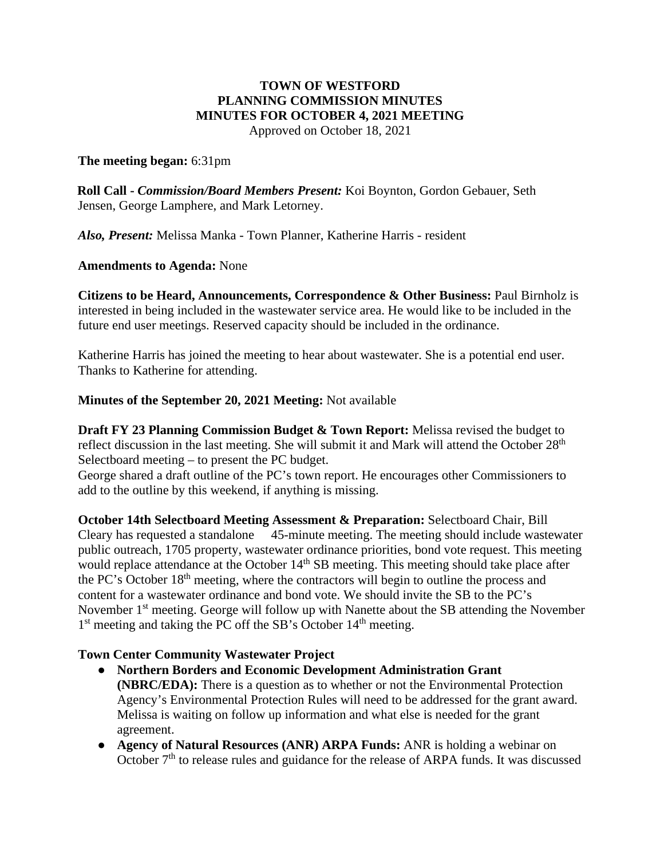# **TOWN OF WESTFORD PLANNING COMMISSION MINUTES MINUTES FOR OCTOBER 4, 2021 MEETING**

Approved on October 18, 2021

## **The meeting began:** 6:31pm

**Roll Call -** *Commission/Board Members Present:* Koi Boynton, Gordon Gebauer, Seth Jensen, George Lamphere, and Mark Letorney.

*Also, Present:* Melissa Manka - Town Planner, Katherine Harris - resident

## **Amendments to Agenda:** None

**Citizens to be Heard, Announcements, Correspondence & Other Business:** Paul Birnholz is interested in being included in the wastewater service area. He would like to be included in the future end user meetings. Reserved capacity should be included in the ordinance.

Katherine Harris has joined the meeting to hear about wastewater. She is a potential end user. Thanks to Katherine for attending.

## **Minutes of the September 20, 2021 Meeting:** Not available

**Draft FY 23 Planning Commission Budget & Town Report:** Melissa revised the budget to reflect discussion in the last meeting. She will submit it and Mark will attend the October 28<sup>th</sup> Selectboard meeting – to present the PC budget.

George shared a draft outline of the PC's town report. He encourages other Commissioners to add to the outline by this weekend, if anything is missing.

**October 14th Selectboard Meeting Assessment & Preparation:** Selectboard Chair, Bill Cleary has requested a standalone 45-minute meeting. The meeting should include wastewater public outreach, 1705 property, wastewater ordinance priorities, bond vote request. This meeting would replace attendance at the October 14<sup>th</sup> SB meeting. This meeting should take place after the PC's October 18th meeting, where the contractors will begin to outline the process and content for a wastewater ordinance and bond vote. We should invite the SB to the PC's November 1<sup>st</sup> meeting. George will follow up with Nanette about the SB attending the November 1<sup>st</sup> meeting and taking the PC off the SB's October 14<sup>th</sup> meeting.

#### **Town Center Community Wastewater Project**

- **Northern Borders and Economic Development Administration Grant (NBRC/EDA):** There is a question as to whether or not the Environmental Protection Agency's Environmental Protection Rules will need to be addressed for the grant award. Melissa is waiting on follow up information and what else is needed for the grant agreement.
- **Agency of Natural Resources (ANR) ARPA Funds:** ANR is holding a webinar on October  $7<sup>th</sup>$  to release rules and guidance for the release of ARPA funds. It was discussed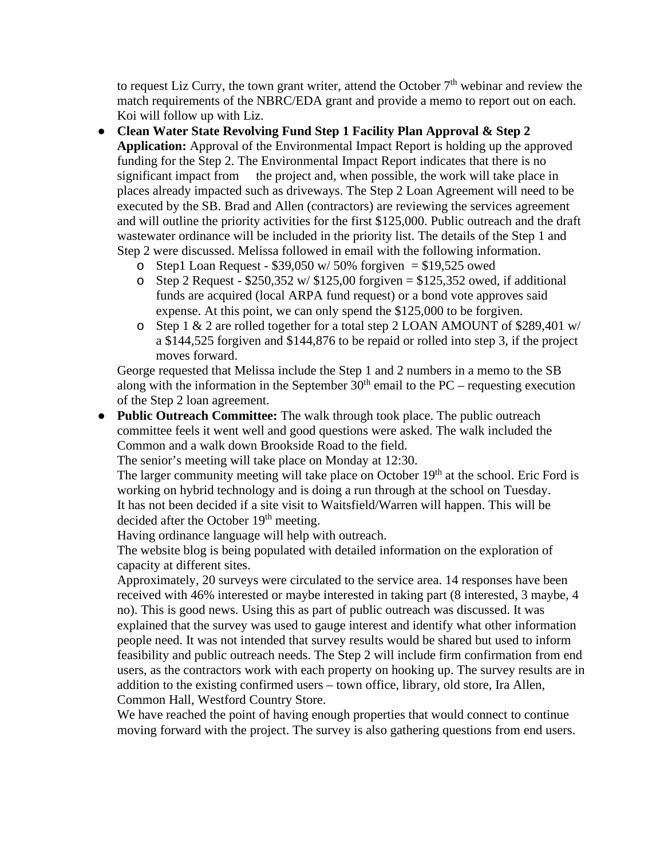to request Liz Curry, the town grant writer, attend the October  $7<sup>th</sup>$  webinar and review the match requirements of the NBRC/EDA grant and provide a memo to report out on each. Koi will follow up with Liz.

- **Clean Water State Revolving Fund Step 1 Facility Plan Approval & Step 2 Application:** Approval of the Environmental Impact Report is holding up the approved funding for the Step 2. The Environmental Impact Report indicates that there is no significant impact from the project and, when possible, the work will take place in places already impacted such as driveways. The Step 2 Loan Agreement will need to be executed by the SB. Brad and Allen (contractors) are reviewing the services agreement and will outline the priority activities for the first \$125,000. Public outreach and the draft wastewater ordinance will be included in the priority list. The details of the Step 1 and Step 2 were discussed. Melissa followed in email with the following information.
	- o Step1 Loan Request  $$39,050 \text{ w}/50\%$  forgiven = \$19,525 owed
	- o Step 2 Request  $$250,352 \text{ w}/ $125,00$  forgiven =  $$125,352$  owed, if additional funds are acquired (local ARPA fund request) or a bond vote approves said expense. At this point, we can only spend the \$125,000 to be forgiven.
	- o Step 1 & 2 are rolled together for a total step 2 LOAN AMOUNT of \$289,401 w/ a \$144,525 forgiven and \$144,876 to be repaid or rolled into step 3, if the project moves forward.

George requested that Melissa include the Step 1 and 2 numbers in a memo to the SB along with the information in the September  $30<sup>th</sup>$  email to the PC – requesting execution of the Step 2 loan agreement.

● **Public Outreach Committee:** The walk through took place. The public outreach committee feels it went well and good questions were asked. The walk included the Common and a walk down Brookside Road to the field.

The senior's meeting will take place on Monday at 12:30.

The larger community meeting will take place on October  $19<sup>th</sup>$  at the school. Eric Ford is working on hybrid technology and is doing a run through at the school on Tuesday. It has not been decided if a site visit to Waitsfield/Warren will happen. This will be decided after the October 19<sup>th</sup> meeting.

Having ordinance language will help with outreach.

The website blog is being populated with detailed information on the exploration of capacity at different sites.

Approximately, 20 surveys were circulated to the service area. 14 responses have been received with 46% interested or maybe interested in taking part (8 interested, 3 maybe, 4 no). This is good news. Using this as part of public outreach was discussed. It was explained that the survey was used to gauge interest and identify what other information people need. It was not intended that survey results would be shared but used to inform feasibility and public outreach needs. The Step 2 will include firm confirmation from end users, as the contractors work with each property on hooking up. The survey results are in addition to the existing confirmed users – town office, library, old store, Ira Allen, Common Hall, Westford Country Store.

We have reached the point of having enough properties that would connect to continue moving forward with the project. The survey is also gathering questions from end users.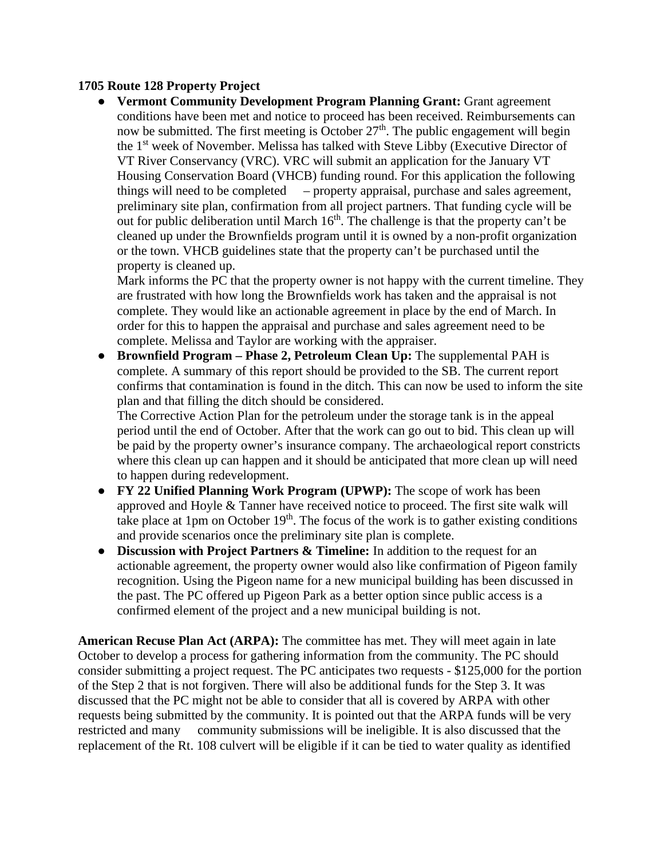## **1705 Route 128 Property Project**

● **Vermont Community Development Program Planning Grant:** Grant agreement conditions have been met and notice to proceed has been received. Reimbursements can now be submitted. The first meeting is October  $27<sup>th</sup>$ . The public engagement will begin the 1<sup>st</sup> week of November. Melissa has talked with Steve Libby (Executive Director of VT River Conservancy (VRC). VRC will submit an application for the January VT Housing Conservation Board (VHCB) funding round. For this application the following things will need to be completed – property appraisal, purchase and sales agreement, preliminary site plan, confirmation from all project partners. That funding cycle will be out for public deliberation until March  $16<sup>th</sup>$ . The challenge is that the property can't be cleaned up under the Brownfields program until it is owned by a non-profit organization or the town. VHCB guidelines state that the property can't be purchased until the property is cleaned up.

Mark informs the PC that the property owner is not happy with the current timeline. They are frustrated with how long the Brownfields work has taken and the appraisal is not complete. They would like an actionable agreement in place by the end of March. In order for this to happen the appraisal and purchase and sales agreement need to be complete. Melissa and Taylor are working with the appraiser.

● **Brownfield Program – Phase 2, Petroleum Clean Up:** The supplemental PAH is complete. A summary of this report should be provided to the SB. The current report confirms that contamination is found in the ditch. This can now be used to inform the site plan and that filling the ditch should be considered.

The Corrective Action Plan for the petroleum under the storage tank is in the appeal period until the end of October. After that the work can go out to bid. This clean up will be paid by the property owner's insurance company. The archaeological report constricts where this clean up can happen and it should be anticipated that more clean up will need to happen during redevelopment.

- **FY 22 Unified Planning Work Program (UPWP):** The scope of work has been approved and Hoyle & Tanner have received notice to proceed. The first site walk will take place at 1pm on October  $19<sup>th</sup>$ . The focus of the work is to gather existing conditions and provide scenarios once the preliminary site plan is complete.
- **Discussion with Project Partners & Timeline:** In addition to the request for an actionable agreement, the property owner would also like confirmation of Pigeon family recognition. Using the Pigeon name for a new municipal building has been discussed in the past. The PC offered up Pigeon Park as a better option since public access is a confirmed element of the project and a new municipal building is not.

**American Recuse Plan Act (ARPA):** The committee has met. They will meet again in late October to develop a process for gathering information from the community. The PC should consider submitting a project request. The PC anticipates two requests - \$125,000 for the portion of the Step 2 that is not forgiven. There will also be additional funds for the Step 3. It was discussed that the PC might not be able to consider that all is covered by ARPA with other requests being submitted by the community. It is pointed out that the ARPA funds will be very restricted and many community submissions will be ineligible. It is also discussed that the replacement of the Rt. 108 culvert will be eligible if it can be tied to water quality as identified